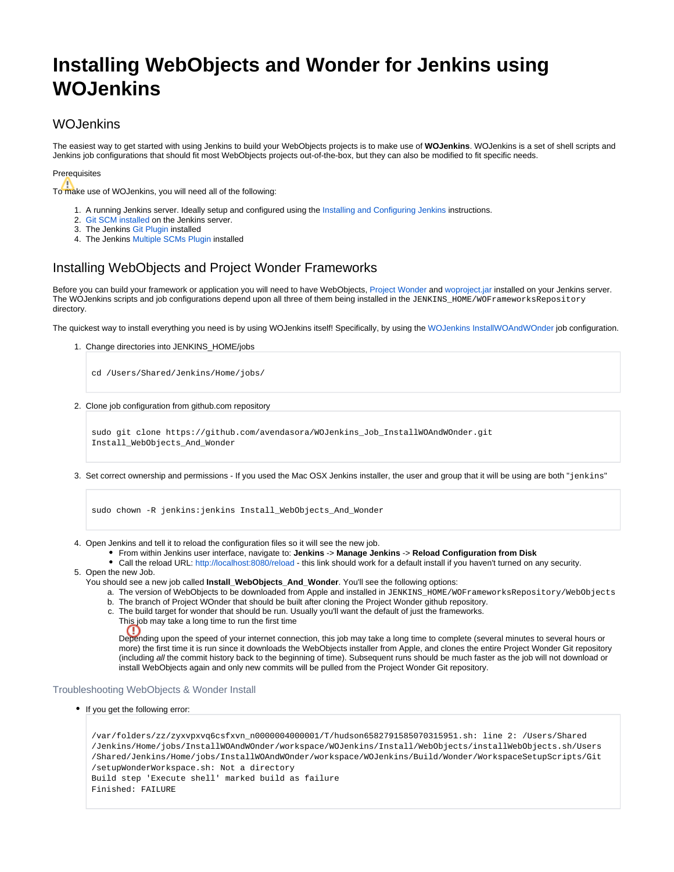# **Installing WebObjects and Wonder for Jenkins using WOJenkins**

### **WOJenkins**

The easiest way to get started with using Jenkins to build your WebObjects projects is to make use of **WOJenkins**. WOJenkins is a set of shell scripts and Jenkins job configurations that should fit most WebObjects projects out-of-the-box, but they can also be modified to fit specific needs.

#### Prerequisites

To make use of WOJenkins, you will need all of the following:

- 1. A running Jenkins server. Ideally setup and configured using the [Installing and Configuring Jenkins](https://wiki.wocommunity.org/display/documentation/Installing+and+Configuring+Jenkins) instructions.
- 2. [Git SCM installed](http://wiki.wocommunity.org/display/WO/Getting+Started+with+Git) on the Jenkins server.
- 3. The Jenkins [Git Plugin](https://wiki.jenkins-ci.org/display/JENKINS/Git+Plugin) installed
- 4. The Jenkins [Multiple SCMs Plugin](https://wiki.jenkins-ci.org/display/JENKINS/Multiple+SCMs+Plugin) installed

## Installing WebObjects and Project Wonder Frameworks

Before you can build your framework or application you will need to have WebObjects, [Project Wonder](https://github.com/wocommunity/wonder/) and [woproject.jar](http://webobjects.mdimension.com/hudson/job/WOLips37Current/lastSuccessfulBuild/artifact/) installed on your Jenkins server. The WOJenkins scripts and job configurations depend upon all three of them being installed in the JENKINS\_HOME/WOFrameworksRepository directory.

The quickest way to install everything you need is by using WOJenkins itself! Specifically, by using the [WOJenkins InstallWOAndWOnder](https://github.com/avendasora/WOJenkins_Job_InstallWOAndWOnder) job configuration.

1. Change directories into JENKINS\_HOME/jobs

cd /Users/Shared/Jenkins/Home/jobs/

2. Clone job configuration from github.com repository

```
sudo git clone https://github.com/avendasora/WOJenkins_Job_InstallWOAndWOnder.git 
Install_WebObjects_And_Wonder
```
3. Set correct ownership and permissions - If you used the Mac OSX Jenkins installer, the user and group that it will be using are both "jenkins"

sudo chown -R jenkins:jenkins Install\_WebObjects\_And\_Wonder

4. Open Jenkins and tell it to reload the configuration files so it will see the new job.

- From within Jenkins user interface, navigate to: **Jenkins** -> **Manage Jenkins** -> **Reload Configuration from Disk**
- Call the reload URL: <http://localhost:8080/reload> this link should work for a default install if you haven't turned on any security.
- 5. Open the new Job.
	- You should see a new job called **Install\_WebObjects\_And\_Wonder**. You'll see the following options:
		- a. The version of WebObjects to be downloaded from Apple and installed in JENKINS\_HOME/WOFrameworksRepository/WebObjects
		- b. The branch of Project WOnder that should be built after cloning the Project Wonder github repository.
		- c. The build target for wonder that should be run. Usually you'll want the default of just the frameworks.
			- This job may take a long time to run the first time

Depending upon the speed of your internet connection, this job may take a long time to complete (several minutes to several hours or more) the first time it is run since it downloads the WebObjects installer from Apple, and clones the entire Project Wonder Git repository (including all the commit history back to the beginning of time). Subsequent runs should be much faster as the job will not download or install WebObjects again and only new commits will be pulled from the Project Wonder Git repository.

#### Troubleshooting WebObjects & Wonder Install

• If you get the following error:

œ

```
/var/folders/zz/zyxvpxvq6csfxvn_n0000004000001/T/hudson6582791585070315951.sh: line 2: /Users/Shared
/Jenkins/Home/jobs/InstallWOAndWOnder/workspace/WOJenkins/Install/WebObjects/installWebObjects.sh/Users
/Shared/Jenkins/Home/jobs/InstallWOAndWOnder/workspace/WOJenkins/Build/Wonder/WorkspaceSetupScripts/Git
/setupWonderWorkspace.sh: Not a directory
Build step 'Execute shell' marked build as failure
Finished: FAILURE
```